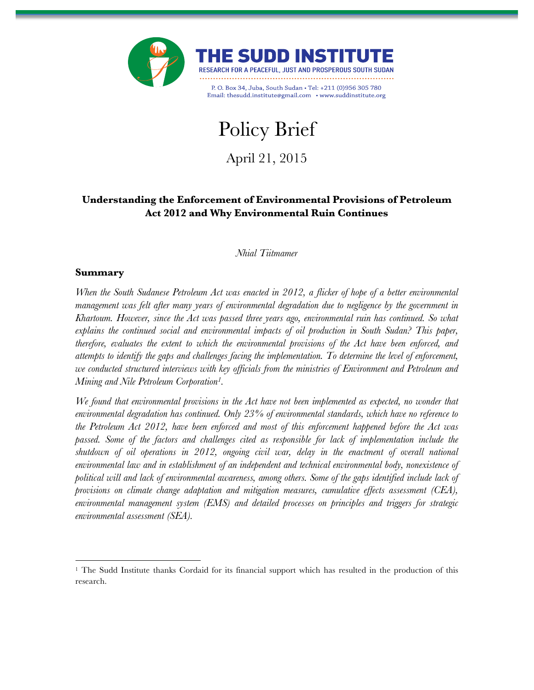



P. O. Box 34, Juba, South Sudan . Tel: +211 (0)956 305 780 Email: thesudd.institute@gmail.com • www.suddinstitute.org

# Policy Brief

April 21, 2015

# **Understanding the Enforcement of Environmental Provisions of Petroleum Act 2012 and Why Environmental Ruin Continues**

*Nhial Tiitmamer*

## **Summary**

*When the South Sudanese Petroleum Act was enacted in 2012, a flicker of hope of a better environmental management was felt after many years of environmental degradation due to negligence by the government in Khartoum. However, since the Act was passed three years ago, environmental ruin has continued. So what explains the continued social and environmental impacts of oil production in South Sudan? This paper, therefore, evaluates the extent to which the environmental provisions of the Act have been enforced, and attempts to identify the gaps and challenges facing the implementation. To determine the level of enforcement, we conducted structured interviews with key officials from the ministries of Environment and Petroleum and Mining and Nile Petroleum Corporation1.*

*We found that environmental provisions in the Act have not been implemented as expected, no wonder that environmental degradation has continued. Only 23% of environmental standards, which have no reference to the Petroleum Act 2012, have been enforced and most of this enforcement happened before the Act was passed. Some of the factors and challenges cited as responsible for lack of implementation include the shutdown of oil operations in 2012, ongoing civil war, delay in the enactment of overall national environmental law and in establishment of an independent and technical environmental body, nonexistence of political will and lack of environmental awareness, among others. Some of the gaps identified include lack of provisions on climate change adaptation and mitigation measures, cumulative effects assessment (CEA), environmental management system (EMS) and detailed processes on principles and triggers for strategic environmental assessment (SEA).*

<sup>&</sup>lt;sup>1</sup> The Sudd Institute thanks Cordaid for its financial support which has resulted in the production of this research.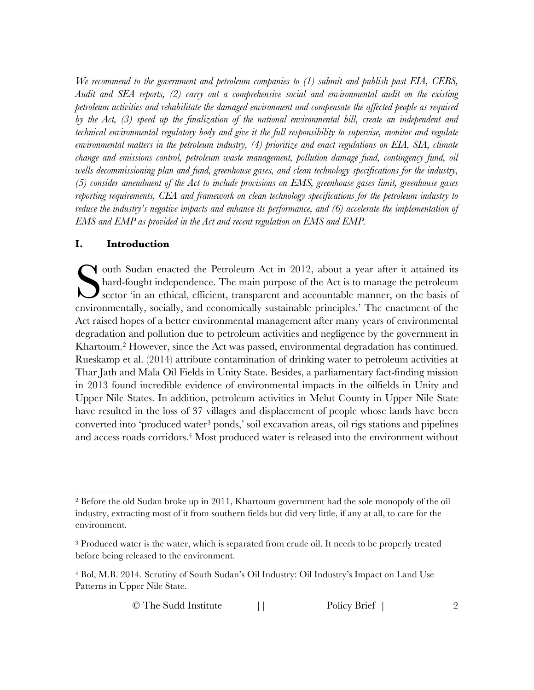*We recommend to the government and petroleum companies to (1) submit and publish past EIA, CEBS, Audit and SEA reports, (2) carry out a comprehensive social and environmental audit on the existing petroleum activities and rehabilitate the damaged environment and compensate the affected people as required by the Act, (3) speed up the finalization of the national environmental bill, create an independent and technical environmental regulatory body and give it the full responsibility to supervise, monitor and regulate environmental matters in the petroleum industry, (4) prioritize and enact regulations on EIA, SIA, climate change and emissions control, petroleum waste management, pollution damage fund, contingency fund, oil wells decommissioning plan and fund, greenhouse gases, and clean technology specifications for the industry, (5) consider amendment of the Act to include provisions on EMS, greenhouse gases limit, greenhouse gases reporting requirements, CEA and framework on clean technology specifications for the petroleum industry to reduce the industry's negative impacts and enhance its performance, and (6) accelerate the implementation of EMS and EMP as provided in the Act and recent regulation on EMS and EMP.*

#### **I. Introduction**

outh Sudan enacted the Petroleum Act in 2012, about a year after it attained its hard-fought independence. The main purpose of the Act is to manage the petroleum Sector 'in an ethical, efficient, transparent and accountable manner, on the basis of environmentally, socially, and economically sustainable principles.' The enactment of the Act raised hopes of a better environmental management after many years of environmental degradation and pollution due to petroleum activities and negligence by the government in Khartoum.2 However, since the Act was passed, environmental degradation has continued. Rueskamp et al. (2014) attribute contamination of drinking water to petroleum activities at Thar Jath and Mala Oil Fields in Unity State. Besides, a parliamentary fact-finding mission in 2013 found incredible evidence of environmental impacts in the oilfields in Unity and Upper Nile States. In addition, petroleum activities in Melut County in Upper Nile State have resulted in the loss of 37 villages and displacement of people whose lands have been converted into 'produced water3 ponds,' soil excavation areas, oil rigs stations and pipelines and access roads corridors.4 Most produced water is released into the environment without S

 <sup>2</sup> Before the old Sudan broke up in 2011, Khartoum government had the sole monopoly of the oil industry, extracting most of it from southern fields but did very little, if any at all, to care for the environment.

<sup>3</sup> Produced water is the water, which is separated from crude oil. It needs to be properly treated before being released to the environment.

<sup>4</sup> Bol, M.B. 2014. Scrutiny of South Sudan's Oil Industry: Oil Industry's Impact on Land Use Patterns in Upper Nile State.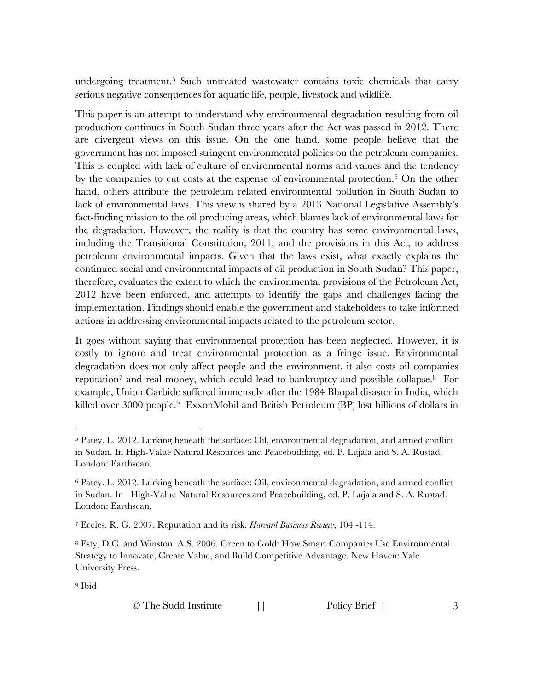undergoing treatment.<sup>5</sup> Such untreated wastewater contains toxic chemicals that carry serious negative consequences for aquatic life, people, livestock and wildlife.

This paper is an attempt to understand why environmental degradation resulting from oil production continues in South Sudan three years after the Act was passed in 2012. There are divergent views on this issue. On the one hand, some people believe that the government has not imposed stringent environmental policies on the petroleum companies. This is coupled with lack of culture of environmental norms and values and the tendency by the companies to cut costs at the expense of environmental protection.6 On the other hand, others attribute the petroleum related environmental pollution in South Sudan to lack of environmental laws. This view is shared by a 2013 National Legislative Assembly's fact-finding mission to the oil producing areas, which blames lack of environmental laws for the degradation. However, the reality is that the country has some environmental laws, including the Transitional Constitution, 2011, and the provisions in this Act, to address petroleum environmental impacts. Given that the laws exist, what exactly explains the continued social and environmental impacts of oil production in South Sudan? This paper, therefore, evaluates the extent to which the environmental provisions of the Petroleum Act, 2012 have been enforced, and attempts to identify the gaps and challenges facing the implementation. Findings should enable the government and stakeholders to take informed actions in addressing environmental impacts related to the petroleum sector.

It goes without saying that environmental protection has been neglected. However, it is costly to ignore and treat environmental protection as a fringe issue. Environmental degradation does not only affect people and the environment, it also costs oil companies reputation<sup>7</sup> and real money, which could lead to bankruptcy and possible collapse.<sup>8</sup> For example, Union Carbide suffered immensely after the 1984 Bhopal disaster in India, which killed over 3000 people.<sup>9</sup> ExxonMobil and British Petroleum (BP) lost billions of dollars in

<sup>9</sup> Ibid

 <sup>5</sup> Patey. L. 2012. Lurking beneath the surface: Oil, environmental degradation, and armed conflict in Sudan. In High-Value Natural Resources and Peacebuilding, ed. P. Lujala and S. A. Rustad. London: Earthscan.

<sup>6</sup> Patey. L. 2012. Lurking beneath the surface: Oil, environmental degradation, and armed conflict in Sudan. In High-Value Natural Resources and Peacebuilding, ed. P. Lujala and S. A. Rustad. London: Earthscan.

<sup>7</sup> Eccles, R. G. 2007. Reputation and its risk. *Harvard Business Review*, 104 -114.

<sup>8</sup> Esty, D.C. and Winston, A.S. 2006. Green to Gold: How Smart Companies Use Environmental Strategy to Innovate, Create Value, and Build Competitive Advantage. New Haven: Yale University Press.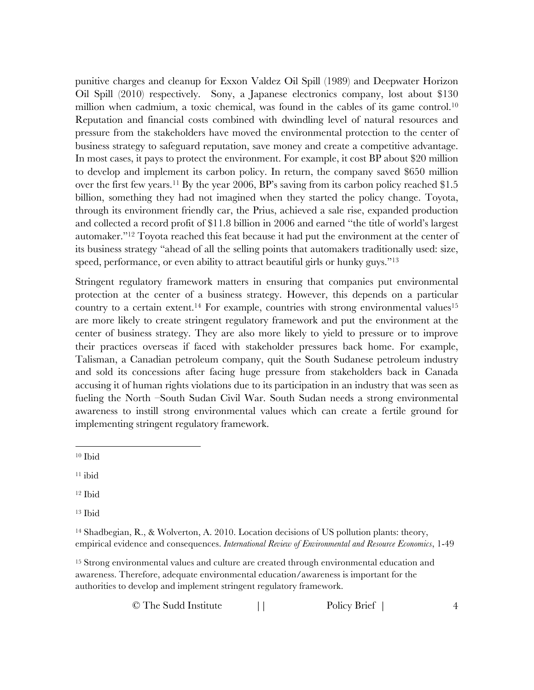punitive charges and cleanup for Exxon Valdez Oil Spill (1989) and Deepwater Horizon Oil Spill (2010) respectively. Sony, a Japanese electronics company, lost about \$130 million when cadmium, a toxic chemical, was found in the cables of its game control.<sup>10</sup> Reputation and financial costs combined with dwindling level of natural resources and pressure from the stakeholders have moved the environmental protection to the center of business strategy to safeguard reputation, save money and create a competitive advantage. In most cases, it pays to protect the environment. For example, it cost BP about \$20 million to develop and implement its carbon policy. In return, the company saved \$650 million over the first few years.<sup>11</sup> By the year 2006, BP's saving from its carbon policy reached \$1.5 billion, something they had not imagined when they started the policy change. Toyota, through its environment friendly car, the Prius, achieved a sale rise, expanded production and collected a record profit of \$11.8 billion in 2006 and earned ''the title of world's largest automaker."12 Toyota reached this feat because it had put the environment at the center of its business strategy "ahead of all the selling points that automakers traditionally used: size, speed, performance, or even ability to attract beautiful girls or hunky guys."<sup>13</sup>

Stringent regulatory framework matters in ensuring that companies put environmental protection at the center of a business strategy. However, this depends on a particular country to a certain extent.<sup>14</sup> For example, countries with strong environmental values<sup>15</sup> are more likely to create stringent regulatory framework and put the environment at the center of business strategy. They are also more likely to yield to pressure or to improve their practices overseas if faced with stakeholder pressures back home. For example, Talisman, a Canadian petroleum company, quit the South Sudanese petroleum industry and sold its concessions after facing huge pressure from stakeholders back in Canada accusing it of human rights violations due to its participation in an industry that was seen as fueling the North –South Sudan Civil War. South Sudan needs a strong environmental awareness to instill strong environmental values which can create a fertile ground for implementing stringent regulatory framework.

<sup>15</sup> Strong environmental values and culture are created through environmental education and awareness. Therefore, adequate environmental education/awareness is important for the authorities to develop and implement stringent regulatory framework.

 <sup>10</sup> Ibid

<sup>11</sup> ibid

<sup>12</sup> Ibid

<sup>13</sup> Ibid

<sup>14</sup> Shadbegian, R., & Wolverton, A. 2010. Location decisions of US pollution plants: theory, empirical evidence and consequences. *International Review of Environmental and Resource Economics*, 1-49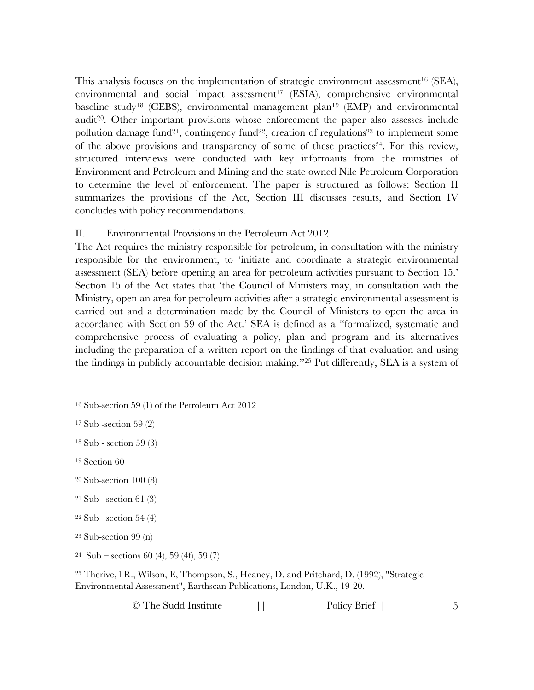This analysis focuses on the implementation of strategic environment assessment<sup>16</sup> (SEA), environmental and social impact assessment<sup>17</sup> (ESIA), comprehensive environmental baseline study<sup>18</sup> (CEBS), environmental management plan<sup>19</sup> (EMP) and environmental audit20. Other important provisions whose enforcement the paper also assesses include pollution damage fund<sup>21</sup>, contingency fund<sup>22</sup>, creation of regulations<sup>23</sup> to implement some of the above provisions and transparency of some of these practices<sup>24</sup>. For this review, structured interviews were conducted with key informants from the ministries of Environment and Petroleum and Mining and the state owned Nile Petroleum Corporation to determine the level of enforcement. The paper is structured as follows: Section II summarizes the provisions of the Act, Section III discusses results, and Section IV concludes with policy recommendations.

## II. Environmental Provisions in the Petroleum Act 2012

The Act requires the ministry responsible for petroleum, in consultation with the ministry responsible for the environment, to 'initiate and coordinate a strategic environmental assessment (SEA) before opening an area for petroleum activities pursuant to Section 15.' Section 15 of the Act states that 'the Council of Ministers may, in consultation with the Ministry, open an area for petroleum activities after a strategic environmental assessment is carried out and a determination made by the Council of Ministers to open the area in accordance with Section 59 of the Act.' SEA is defined as a ''formalized, systematic and comprehensive process of evaluating a policy, plan and program and its alternatives including the preparation of a written report on the findings of that evaluation and using the findings in publicly accountable decision making.''25 Put differently, SEA is a system of

<sup>25</sup> Therive, l R., Wilson, E, Thompson, S., Heaney, D. and Pritchard, D. (1992), "Strategic Environmental Assessment", Earthscan Publications, London, U.K., 19-20.

 <sup>16</sup> Sub-section 59 (1) of the Petroleum Act 2012

<sup>17</sup> Sub -section 59 (2)

<sup>18</sup> Sub - section 59 (3)

<sup>19</sup> Section 60

<sup>20</sup> Sub-section 100 (8)

<sup>21</sup> Sub –section 61 (3)

 $22$  Sub –section 54 (4)

<sup>23</sup> Sub-section 99 (n)

 $24$  Sub – sections 60 (4), 59 (4f), 59 (7)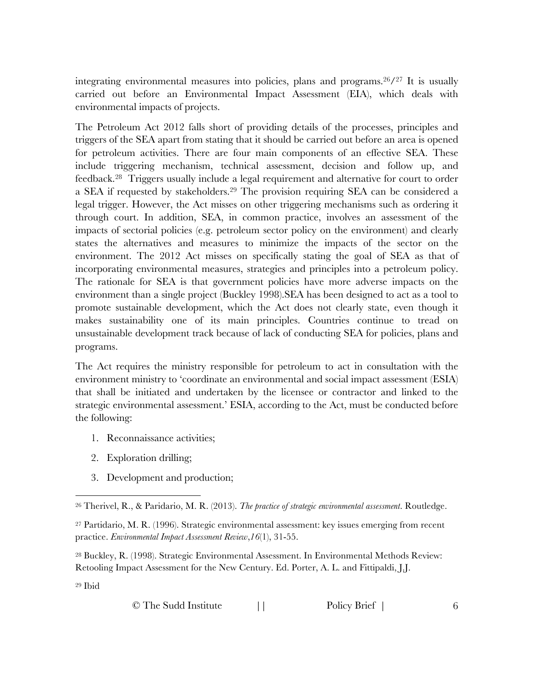integrating environmental measures into policies, plans and programs.  $26/27$  It is usually carried out before an Environmental Impact Assessment (EIA), which deals with environmental impacts of projects.

The Petroleum Act 2012 falls short of providing details of the processes, principles and triggers of the SEA apart from stating that it should be carried out before an area is opened for petroleum activities. There are four main components of an effective SEA. These include triggering mechanism, technical assessment, decision and follow up, and feedback.28 Triggers usually include a legal requirement and alternative for court to order a SEA if requested by stakeholders.29 The provision requiring SEA can be considered a legal trigger. However, the Act misses on other triggering mechanisms such as ordering it through court. In addition, SEA, in common practice, involves an assessment of the impacts of sectorial policies (e.g. petroleum sector policy on the environment) and clearly states the alternatives and measures to minimize the impacts of the sector on the environment. The 2012 Act misses on specifically stating the goal of SEA as that of incorporating environmental measures, strategies and principles into a petroleum policy. The rationale for SEA is that government policies have more adverse impacts on the environment than a single project (Buckley 1998).SEA has been designed to act as a tool to promote sustainable development, which the Act does not clearly state, even though it makes sustainability one of its main principles. Countries continue to tread on unsustainable development track because of lack of conducting SEA for policies, plans and programs.

The Act requires the ministry responsible for petroleum to act in consultation with the environment ministry to 'coordinate an environmental and social impact assessment (ESIA) that shall be initiated and undertaken by the licensee or contractor and linked to the strategic environmental assessment.' ESIA, according to the Act, must be conducted before the following:

- 1. Reconnaissance activities;
- 2. Exploration drilling;
- 3. Development and production;

<sup>28</sup> Buckley, R. (1998). Strategic Environmental Assessment. In Environmental Methods Review: Retooling Impact Assessment for the New Century. Ed. Porter, A. L. and Fittipaldi, J.J.

<sup>29</sup> Ibid

| © The Sudd Institute |  | Policy Brief |  |
|----------------------|--|--------------|--|
|----------------------|--|--------------|--|

 <sup>26</sup> Therivel, R., & Paridario, M. R. (2013). *The practice of strategic environmental assessment*. Routledge.

<sup>27</sup> Partidario, M. R. (1996). Strategic environmental assessment: key issues emerging from recent practice. *Environmental Impact Assessment Review*,*16*(1), 31-55.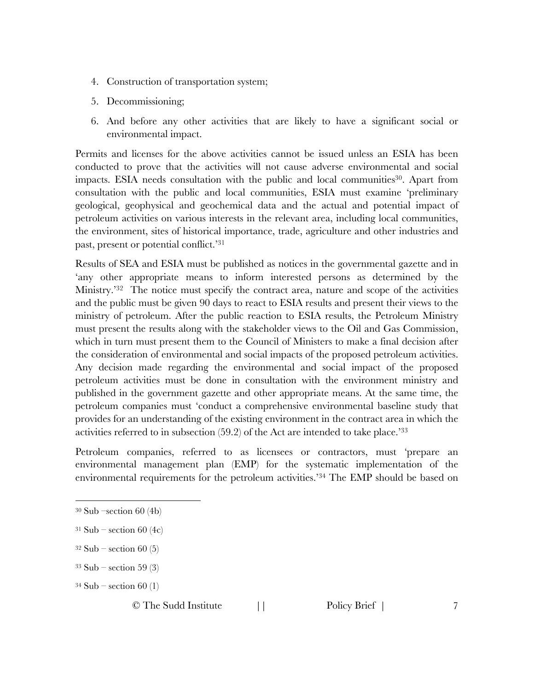- 4. Construction of transportation system;
- 5. Decommissioning;
- 6. And before any other activities that are likely to have a significant social or environmental impact.

Permits and licenses for the above activities cannot be issued unless an ESIA has been conducted to prove that the activities will not cause adverse environmental and social impacts. ESIA needs consultation with the public and local communities<sup>30</sup>. Apart from consultation with the public and local communities, ESIA must examine 'preliminary geological, geophysical and geochemical data and the actual and potential impact of petroleum activities on various interests in the relevant area, including local communities, the environment, sites of historical importance, trade, agriculture and other industries and past, present or potential conflict.'31

Results of SEA and ESIA must be published as notices in the governmental gazette and in 'any other appropriate means to inform interested persons as determined by the Ministry.<sup>'32</sup> The notice must specify the contract area, nature and scope of the activities and the public must be given 90 days to react to ESIA results and present their views to the ministry of petroleum. After the public reaction to ESIA results, the Petroleum Ministry must present the results along with the stakeholder views to the Oil and Gas Commission, which in turn must present them to the Council of Ministers to make a final decision after the consideration of environmental and social impacts of the proposed petroleum activities. Any decision made regarding the environmental and social impact of the proposed petroleum activities must be done in consultation with the environment ministry and published in the government gazette and other appropriate means. At the same time, the petroleum companies must 'conduct a comprehensive environmental baseline study that provides for an understanding of the existing environment in the contract area in which the activities referred to in subsection  $(59.2)$  of the Act are intended to take place.<sup>33</sup>

Petroleum companies, referred to as licensees or contractors, must 'prepare an environmental management plan (EMP) for the systematic implementation of the environmental requirements for the petroleum activities.'34 The EMP should be based on

- $32$  Sub section 60 (5)
- $33$  Sub section 59 $(3)$
- $34$  Sub section 60 (1)

 <sup>30</sup> Sub –section 60 (4b)

 $31$  Sub – section 60 (4c)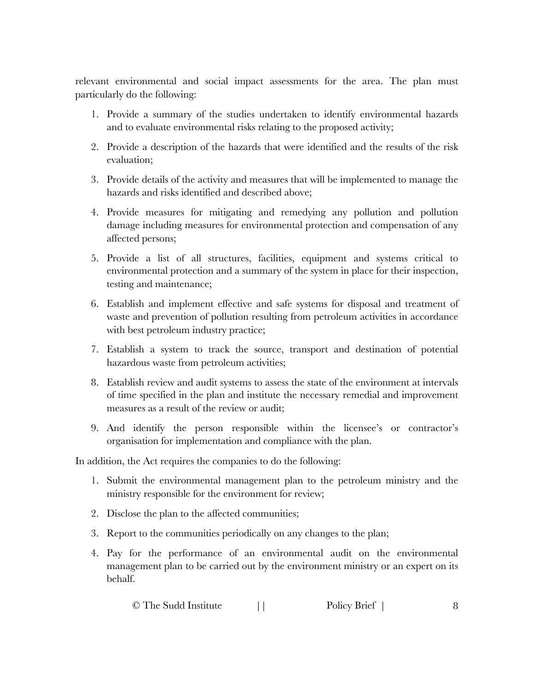relevant environmental and social impact assessments for the area. The plan must particularly do the following:

- 1. Provide a summary of the studies undertaken to identify environmental hazards and to evaluate environmental risks relating to the proposed activity;
- 2. Provide a description of the hazards that were identified and the results of the risk evaluation;
- 3. Provide details of the activity and measures that will be implemented to manage the hazards and risks identified and described above;
- 4. Provide measures for mitigating and remedying any pollution and pollution damage including measures for environmental protection and compensation of any affected persons;
- 5. Provide a list of all structures, facilities, equipment and systems critical to environmental protection and a summary of the system in place for their inspection, testing and maintenance;
- 6. Establish and implement effective and safe systems for disposal and treatment of waste and prevention of pollution resulting from petroleum activities in accordance with best petroleum industry practice;
- 7. Establish a system to track the source, transport and destination of potential hazardous waste from petroleum activities;
- 8. Establish review and audit systems to assess the state of the environment at intervals of time specified in the plan and institute the necessary remedial and improvement measures as a result of the review or audit;
- 9. And identify the person responsible within the licensee's or contractor's organisation for implementation and compliance with the plan.

In addition, the Act requires the companies to do the following:

- 1. Submit the environmental management plan to the petroleum ministry and the ministry responsible for the environment for review;
- 2. Disclose the plan to the affected communities;
- 3. Report to the communities periodically on any changes to the plan;
- 4. Pay for the performance of an environmental audit on the environmental management plan to be carried out by the environment ministry or an expert on its behalf.

```
© The Sudd Institute || Policy Brief | 8
```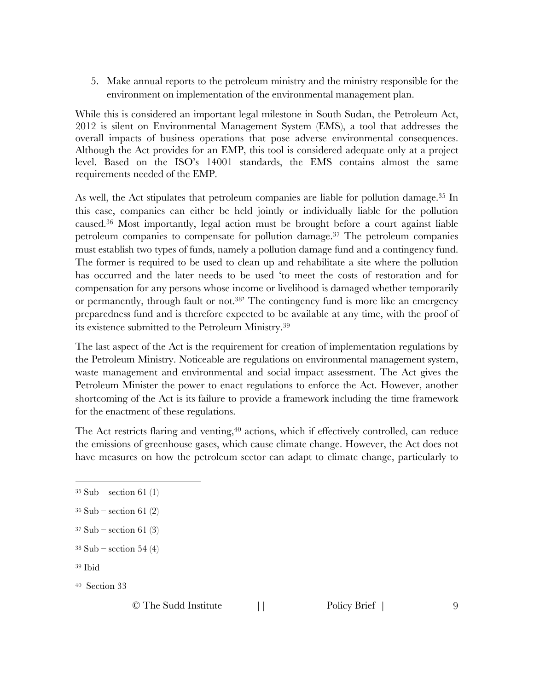5. Make annual reports to the petroleum ministry and the ministry responsible for the environment on implementation of the environmental management plan.

While this is considered an important legal milestone in South Sudan, the Petroleum Act, 2012 is silent on Environmental Management System (EMS), a tool that addresses the overall impacts of business operations that pose adverse environmental consequences. Although the Act provides for an EMP, this tool is considered adequate only at a project level. Based on the ISO's 14001 standards, the EMS contains almost the same requirements needed of the EMP.

As well, the Act stipulates that petroleum companies are liable for pollution damage.35 In this case, companies can either be held jointly or individually liable for the pollution caused.36 Most importantly, legal action must be brought before a court against liable petroleum companies to compensate for pollution damage.37 The petroleum companies must establish two types of funds, namely a pollution damage fund and a contingency fund. The former is required to be used to clean up and rehabilitate a site where the pollution has occurred and the later needs to be used 'to meet the costs of restoration and for compensation for any persons whose income or livelihood is damaged whether temporarily or permanently, through fault or not.<sup>38</sup> The contingency fund is more like an emergency preparedness fund and is therefore expected to be available at any time, with the proof of its existence submitted to the Petroleum Ministry.39

The last aspect of the Act is the requirement for creation of implementation regulations by the Petroleum Ministry. Noticeable are regulations on environmental management system, waste management and environmental and social impact assessment. The Act gives the Petroleum Minister the power to enact regulations to enforce the Act. However, another shortcoming of the Act is its failure to provide a framework including the time framework for the enactment of these regulations.

The Act restricts flaring and venting,<sup>40</sup> actions, which if effectively controlled, can reduce the emissions of greenhouse gases, which cause climate change. However, the Act does not have measures on how the petroleum sector can adapt to climate change, particularly to

<sup>39</sup> Ibid

40 Section 33

 $35$  Sub – section 61 (1)

 $36$  Sub – section 61 (2)

 $37$  Sub – section 61 (3)

 $38$  Sub – section 54 (4)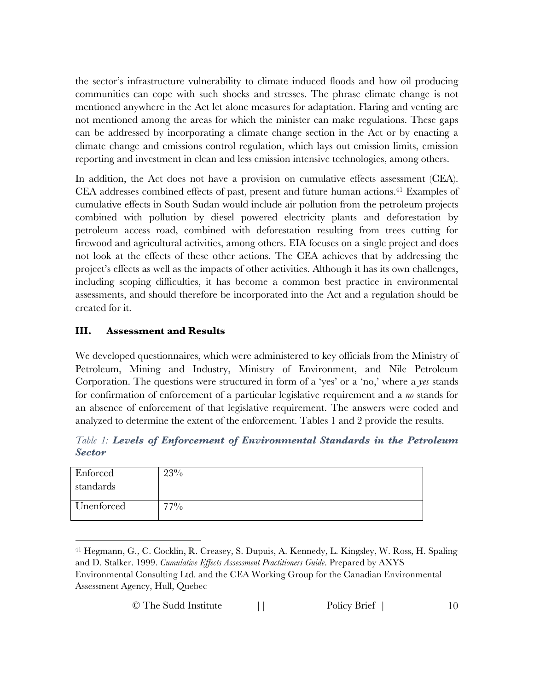the sector's infrastructure vulnerability to climate induced floods and how oil producing communities can cope with such shocks and stresses. The phrase climate change is not mentioned anywhere in the Act let alone measures for adaptation. Flaring and venting are not mentioned among the areas for which the minister can make regulations. These gaps can be addressed by incorporating a climate change section in the Act or by enacting a climate change and emissions control regulation, which lays out emission limits, emission reporting and investment in clean and less emission intensive technologies, among others.

In addition, the Act does not have a provision on cumulative effects assessment (CEA). CEA addresses combined effects of past, present and future human actions.41 Examples of cumulative effects in South Sudan would include air pollution from the petroleum projects combined with pollution by diesel powered electricity plants and deforestation by petroleum access road, combined with deforestation resulting from trees cutting for firewood and agricultural activities, among others. EIA focuses on a single project and does not look at the effects of these other actions. The CEA achieves that by addressing the project's effects as well as the impacts of other activities. Although it has its own challenges, including scoping difficulties, it has become a common best practice in environmental assessments, and should therefore be incorporated into the Act and a regulation should be created for it.

## **III. Assessment and Results**

We developed questionnaires, which were administered to key officials from the Ministry of Petroleum, Mining and Industry, Ministry of Environment, and Nile Petroleum Corporation. The questions were structured in form of a 'yes' or a 'no,' where a *yes* stands for confirmation of enforcement of a particular legislative requirement and a *no* stands for an absence of enforcement of that legislative requirement. The answers were coded and analyzed to determine the extent of the enforcement. Tables 1 and 2 provide the results.

*Table 1: Levels of Enforcement of Environmental Standards in the Petroleum Sector*

| Enforced<br>standards | 23%    |
|-----------------------|--------|
| Unenforced            | $77\%$ |

 <sup>41</sup> Hegmann, G., C. Cocklin, R. Creasey, S. Dupuis, A. Kennedy, L. Kingsley, W. Ross, H. Spaling and D. Stalker. 1999. *Cumulative Effects Assessment Practitioners Guide*. Prepared by AXYS Environmental Consulting Ltd. and the CEA Working Group for the Canadian Environmental Assessment Agency, Hull, Quebec

| © The Sudd Institute |  | Policy Brief |
|----------------------|--|--------------|
|----------------------|--|--------------|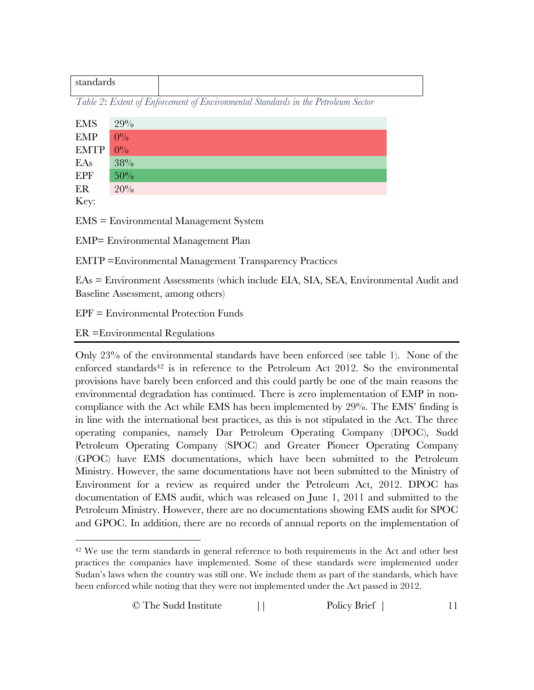| uus<br>ш. |  |
|-----------|--|
|           |  |

*Table 2*: *Extent of Enforcement of Environmental Standards in the Petroleum Sector*

| EMS          | 29%   |
|--------------|-------|
| EMP          | $0\%$ |
| $EMTP$ $0\%$ |       |
| EAs          | 38%   |
| EPF          | 50%   |
| ER           | 20%   |
| $\mathbf{L}$ |       |

Key:

EMS = Environmental Management System

EMP= Environmental Management Plan

EMTP =Environmental Management Transparency Practices

EAs = Environment Assessments (which include EIA, SIA, SEA, Environmental Audit and Baseline Assessment, among others)

EPF = Environmental Protection Funds

ER =Environmental Regulations

Only 23% of the environmental standards have been enforced (see table 1). None of the enforced standards<sup>42</sup> is in reference to the Petroleum Act 2012. So the environmental provisions have barely been enforced and this could partly be one of the main reasons the environmental degradation has continued. There is zero implementation of EMP in noncompliance with the Act while EMS has been implemented by 29%. The EMS' finding is in line with the international best practices, as this is not stipulated in the Act. The three operating companies, namely Dar Petroleum Operating Company (DPOC), Sudd Petroleum Operating Company (SPOC) and Greater Pioneer Operating Company (GPOC) have EMS documentations, which have been submitted to the Petroleum Ministry. However, the same documentations have not been submitted to the Ministry of Environment for a review as required under the Petroleum Act, 2012. DPOC has documentation of EMS audit, which was released on June 1, 2011 and submitted to the Petroleum Ministry. However, there are no documentations showing EMS audit for SPOC and GPOC. In addition, there are no records of annual reports on the implementation of

<sup>&</sup>lt;sup>42</sup> We use the term standards in general reference to both requirements in the Act and other best practices the companies have implemented. Some of these standards were implemented under Sudan's laws when the country was still one. We include them as part of the standards, which have been enforced while noting that they were not implemented under the Act passed in 2012.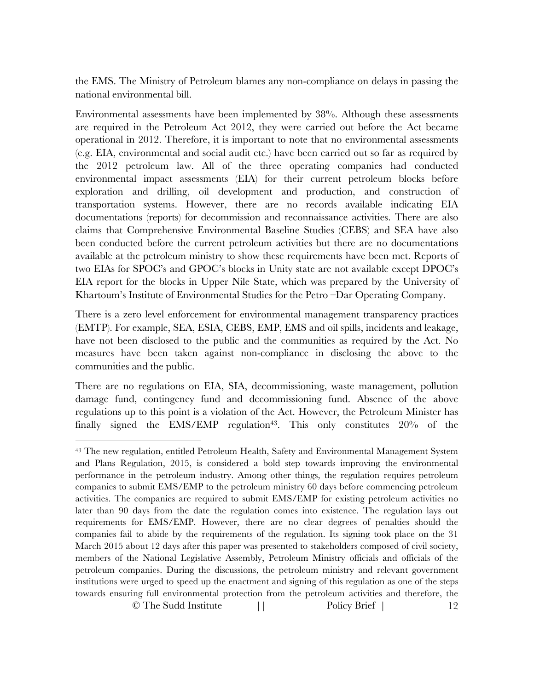the EMS. The Ministry of Petroleum blames any non-compliance on delays in passing the national environmental bill.

Environmental assessments have been implemented by 38%. Although these assessments are required in the Petroleum Act 2012, they were carried out before the Act became operational in 2012. Therefore, it is important to note that no environmental assessments (e.g. EIA, environmental and social audit etc.) have been carried out so far as required by the 2012 petroleum law. All of the three operating companies had conducted environmental impact assessments (EIA) for their current petroleum blocks before exploration and drilling, oil development and production, and construction of transportation systems. However, there are no records available indicating EIA documentations (reports) for decommission and reconnaissance activities. There are also claims that Comprehensive Environmental Baseline Studies (CEBS) and SEA have also been conducted before the current petroleum activities but there are no documentations available at the petroleum ministry to show these requirements have been met. Reports of two EIAs for SPOC's and GPOC's blocks in Unity state are not available except DPOC's EIA report for the blocks in Upper Nile State, which was prepared by the University of Khartoum's Institute of Environmental Studies for the Petro –Dar Operating Company.

There is a zero level enforcement for environmental management transparency practices (EMTP). For example, SEA, ESIA, CEBS, EMP, EMS and oil spills, incidents and leakage, have not been disclosed to the public and the communities as required by the Act. No measures have been taken against non-compliance in disclosing the above to the communities and the public.

There are no regulations on EIA, SIA, decommissioning, waste management, pollution damage fund, contingency fund and decommissioning fund. Absence of the above regulations up to this point is a violation of the Act. However, the Petroleum Minister has finally signed the EMS/EMP regulation<sup>43</sup>. This only constitutes  $20\%$  of the

<sup>©</sup> The Sudd Institute || Policy Brief | 12 43 The new regulation, entitled Petroleum Health, Safety and Environmental Management System and Plans Regulation, 2015, is considered a bold step towards improving the environmental performance in the petroleum industry. Among other things, the regulation requires petroleum companies to submit EMS/EMP to the petroleum ministry 60 days before commencing petroleum activities. The companies are required to submit EMS/EMP for existing petroleum activities no later than 90 days from the date the regulation comes into existence. The regulation lays out requirements for EMS/EMP. However, there are no clear degrees of penalties should the companies fail to abide by the requirements of the regulation. Its signing took place on the 31 March 2015 about 12 days after this paper was presented to stakeholders composed of civil society, members of the National Legislative Assembly, Petroleum Ministry officials and officials of the petroleum companies. During the discussions, the petroleum ministry and relevant government institutions were urged to speed up the enactment and signing of this regulation as one of the steps towards ensuring full environmental protection from the petroleum activities and therefore, the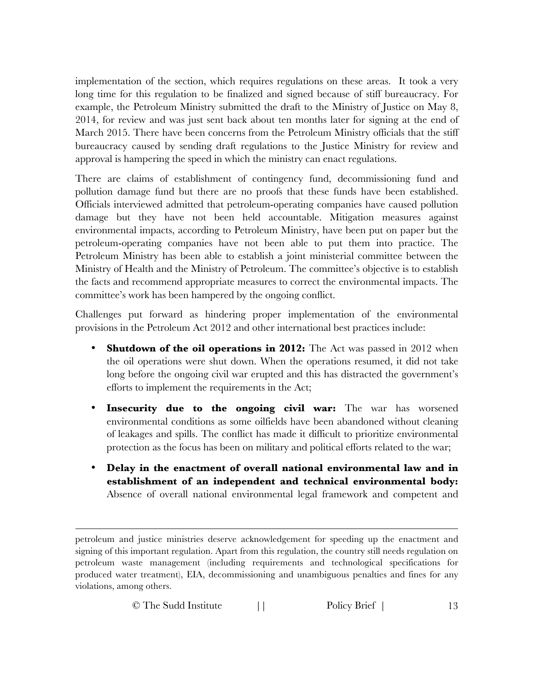implementation of the section, which requires regulations on these areas. It took a very long time for this regulation to be finalized and signed because of stiff bureaucracy. For example, the Petroleum Ministry submitted the draft to the Ministry of Justice on May 8, 2014, for review and was just sent back about ten months later for signing at the end of March 2015. There have been concerns from the Petroleum Ministry officials that the stiff bureaucracy caused by sending draft regulations to the Justice Ministry for review and approval is hampering the speed in which the ministry can enact regulations.

There are claims of establishment of contingency fund, decommissioning fund and pollution damage fund but there are no proofs that these funds have been established. Officials interviewed admitted that petroleum-operating companies have caused pollution damage but they have not been held accountable. Mitigation measures against environmental impacts, according to Petroleum Ministry, have been put on paper but the petroleum-operating companies have not been able to put them into practice. The Petroleum Ministry has been able to establish a joint ministerial committee between the Ministry of Health and the Ministry of Petroleum. The committee's objective is to establish the facts and recommend appropriate measures to correct the environmental impacts. The committee's work has been hampered by the ongoing conflict.

Challenges put forward as hindering proper implementation of the environmental provisions in the Petroleum Act 2012 and other international best practices include:

- **Shutdown of the oil operations in 2012:** The Act was passed in 2012 when the oil operations were shut down. When the operations resumed, it did not take long before the ongoing civil war erupted and this has distracted the government's efforts to implement the requirements in the Act;
- **Insecurity due to the ongoing civil war:** The war has worsened environmental conditions as some oilfields have been abandoned without cleaning of leakages and spills. The conflict has made it difficult to prioritize environmental protection as the focus has been on military and political efforts related to the war;
- **Delay in the enactment of overall national environmental law and in establishment of an independent and technical environmental body:** Absence of overall national environmental legal framework and competent and

 $\overline{a}$ 

© The Sudd Institute || Policy Brief | 13

petroleum and justice ministries deserve acknowledgement for speeding up the enactment and signing of this important regulation. Apart from this regulation, the country still needs regulation on petroleum waste management (including requirements and technological specifications for produced water treatment), EIA, decommissioning and unambiguous penalties and fines for any violations, among others.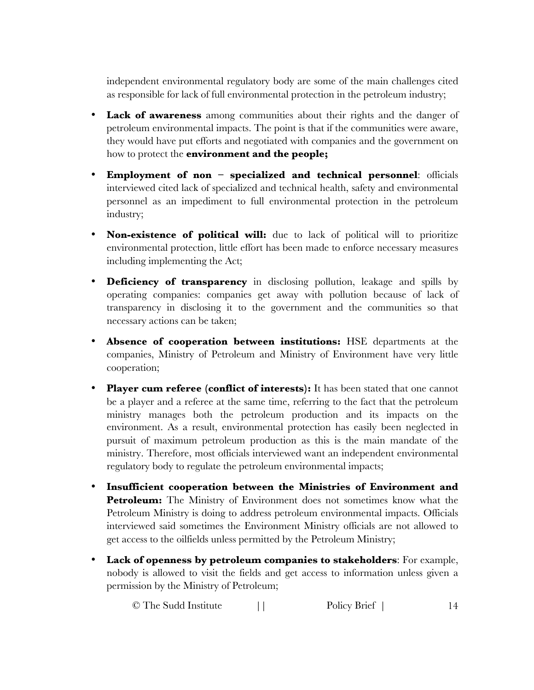independent environmental regulatory body are some of the main challenges cited as responsible for lack of full environmental protection in the petroleum industry;

- Lack of awareness among communities about their rights and the danger of petroleum environmental impacts. The point is that if the communities were aware, they would have put efforts and negotiated with companies and the government on how to protect the **environment and the people;**
- **Employment of non – specialized and technical personnel**: officials interviewed cited lack of specialized and technical health, safety and environmental personnel as an impediment to full environmental protection in the petroleum industry;
- **Non-existence of political will:** due to lack of political will to prioritize environmental protection, little effort has been made to enforce necessary measures including implementing the Act;
- **Deficiency of transparency** in disclosing pollution, leakage and spills by operating companies: companies get away with pollution because of lack of transparency in disclosing it to the government and the communities so that necessary actions can be taken;
- **Absence of cooperation between institutions:** HSE departments at the companies, Ministry of Petroleum and Ministry of Environment have very little cooperation;
- **Player cum referee (conflict of interests):** It has been stated that one cannot be a player and a referee at the same time, referring to the fact that the petroleum ministry manages both the petroleum production and its impacts on the environment. As a result, environmental protection has easily been neglected in pursuit of maximum petroleum production as this is the main mandate of the ministry. Therefore, most officials interviewed want an independent environmental regulatory body to regulate the petroleum environmental impacts;
- **Insufficient cooperation between the Ministries of Environment and Petroleum:** The Ministry of Environment does not sometimes know what the Petroleum Ministry is doing to address petroleum environmental impacts. Officials interviewed said sometimes the Environment Ministry officials are not allowed to get access to the oilfields unless permitted by the Petroleum Ministry;
- **Lack of openness by petroleum companies to stakeholders**: For example, nobody is allowed to visit the fields and get access to information unless given a permission by the Ministry of Petroleum;

© The Sudd Institute || Policy Brief | 14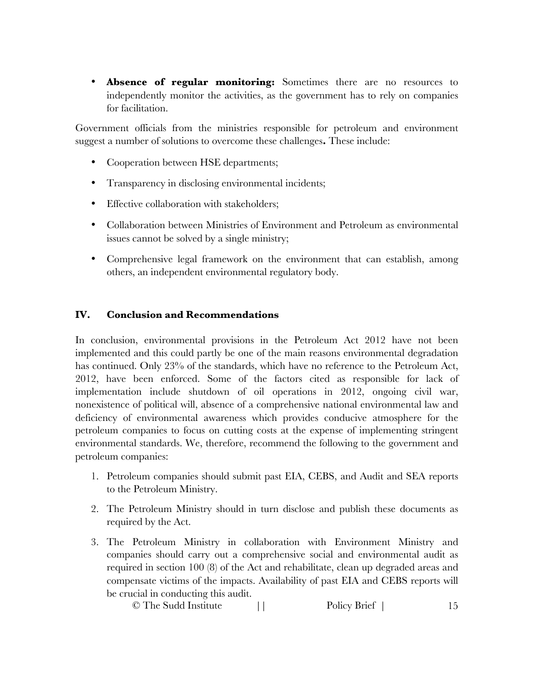• **Absence of regular monitoring:** Sometimes there are no resources to independently monitor the activities, as the government has to rely on companies for facilitation.

Government officials from the ministries responsible for petroleum and environment suggest a number of solutions to overcome these challenges**.** These include:

- Cooperation between HSE departments;
- Transparency in disclosing environmental incidents;
- Effective collaboration with stakeholders;
- Collaboration between Ministries of Environment and Petroleum as environmental issues cannot be solved by a single ministry;
- Comprehensive legal framework on the environment that can establish, among others, an independent environmental regulatory body.

## **IV. Conclusion and Recommendations**

In conclusion, environmental provisions in the Petroleum Act 2012 have not been implemented and this could partly be one of the main reasons environmental degradation has continued. Only 23% of the standards, which have no reference to the Petroleum Act, 2012, have been enforced. Some of the factors cited as responsible for lack of implementation include shutdown of oil operations in 2012, ongoing civil war, nonexistence of political will, absence of a comprehensive national environmental law and deficiency of environmental awareness which provides conducive atmosphere for the petroleum companies to focus on cutting costs at the expense of implementing stringent environmental standards. We, therefore, recommend the following to the government and petroleum companies:

- 1. Petroleum companies should submit past EIA, CEBS, and Audit and SEA reports to the Petroleum Ministry.
- 2. The Petroleum Ministry should in turn disclose and publish these documents as required by the Act.
- 3. The Petroleum Ministry in collaboration with Environment Ministry and companies should carry out a comprehensive social and environmental audit as required in section 100 (8) of the Act and rehabilitate, clean up degraded areas and compensate victims of the impacts. Availability of past EIA and CEBS reports will be crucial in conducting this audit.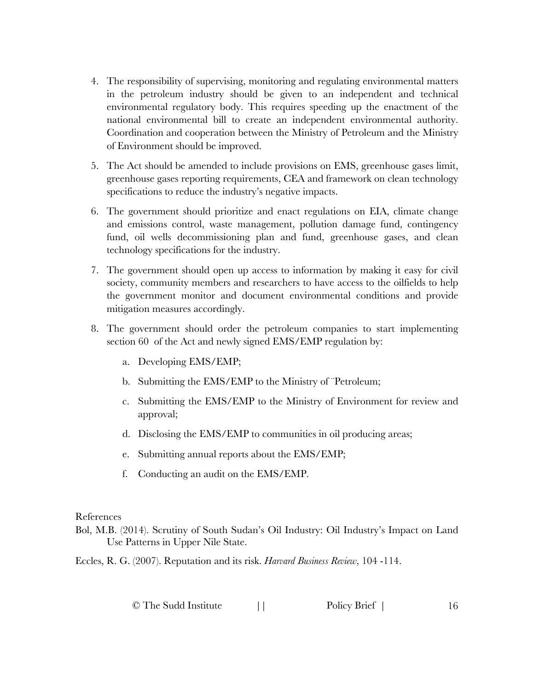- 4. The responsibility of supervising, monitoring and regulating environmental matters in the petroleum industry should be given to an independent and technical environmental regulatory body. This requires speeding up the enactment of the national environmental bill to create an independent environmental authority. Coordination and cooperation between the Ministry of Petroleum and the Ministry of Environment should be improved.
- 5. The Act should be amended to include provisions on EMS, greenhouse gases limit, greenhouse gases reporting requirements, CEA and framework on clean technology specifications to reduce the industry's negative impacts.
- 6. The government should prioritize and enact regulations on EIA, climate change and emissions control, waste management, pollution damage fund, contingency fund, oil wells decommissioning plan and fund, greenhouse gases, and clean technology specifications for the industry.
- 7. The government should open up access to information by making it easy for civil society, community members and researchers to have access to the oilfields to help the government monitor and document environmental conditions and provide mitigation measures accordingly.
- 8. The government should order the petroleum companies to start implementing section 60 of the Act and newly signed EMS/EMP regulation by:
	- a. Developing EMS/EMP;
	- b. Submitting the EMS/EMP to the Ministry of ¨Petroleum;
	- c. Submitting the EMS/EMP to the Ministry of Environment for review and approval;
	- d. Disclosing the EMS/EMP to communities in oil producing areas;
	- e. Submitting annual reports about the EMS/EMP;
	- f. Conducting an audit on the EMS/EMP.

References

Bol, M.B. (2014). Scrutiny of South Sudan's Oil Industry: Oil Industry's Impact on Land Use Patterns in Upper Nile State.

Eccles, R. G. (2007). Reputation and its risk. *Harvard Business Review*, 104 -114.

| © The Sudd Institute | Policy Brief |  |
|----------------------|--------------|--|
|----------------------|--------------|--|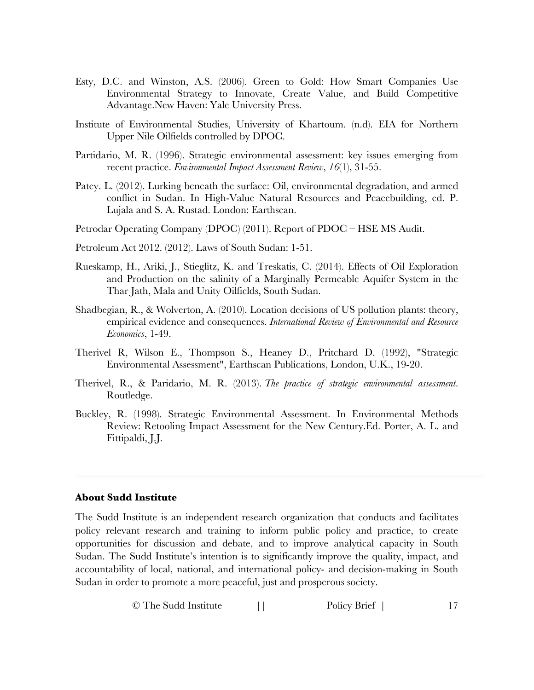- Esty, D.C. and Winston, A.S. (2006). Green to Gold: How Smart Companies Use Environmental Strategy to Innovate, Create Value, and Build Competitive Advantage.New Haven: Yale University Press.
- Institute of Environmental Studies, University of Khartoum. (n.d). EIA for Northern Upper Nile Oilfields controlled by DPOC.
- Partidario, M. R. (1996). Strategic environmental assessment: key issues emerging from recent practice. *Environmental Impact Assessment Review*, *16*(1), 31-55.
- Patey. L. (2012). Lurking beneath the surface: Oil, environmental degradation, and armed conflict in Sudan. In High-Value Natural Resources and Peacebuilding, ed. P. Lujala and S. A. Rustad. London: Earthscan.
- Petrodar Operating Company (DPOC) (2011). Report of PDOC HSE MS Audit.
- Petroleum Act 2012. (2012). Laws of South Sudan: 1-51.
- Rueskamp, H., Ariki, J., Stieglitz, K. and Treskatis, C. (2014). Effects of Oil Exploration and Production on the salinity of a Marginally Permeable Aquifer System in the Thar Jath, Mala and Unity Oilfields, South Sudan.
- Shadbegian, R., & Wolverton, A. (2010). Location decisions of US pollution plants: theory, empirical evidence and consequences. *International Review of Environmental and Resource Economics*, 1-49.
- Therivel R, Wilson E., Thompson S., Heaney D., Pritchard D. (1992), "Strategic Environmental Assessment", Earthscan Publications, London, U.K., 19-20.
- Therivel, R., & Paridario, M. R. (2013). *The practice of strategic environmental assessment*. Routledge.
- Buckley, R. (1998). Strategic Environmental Assessment. In Environmental Methods Review: Retooling Impact Assessment for the New Century.Ed. Porter, A. L. and Fittipaldi, J.J.

#### **About Sudd Institute**

The Sudd Institute is an independent research organization that conducts and facilitates policy relevant research and training to inform public policy and practice, to create opportunities for discussion and debate, and to improve analytical capacity in South Sudan. The Sudd Institute's intention is to significantly improve the quality, impact, and accountability of local, national, and international policy- and decision-making in South Sudan in order to promote a more peaceful, just and prosperous society.